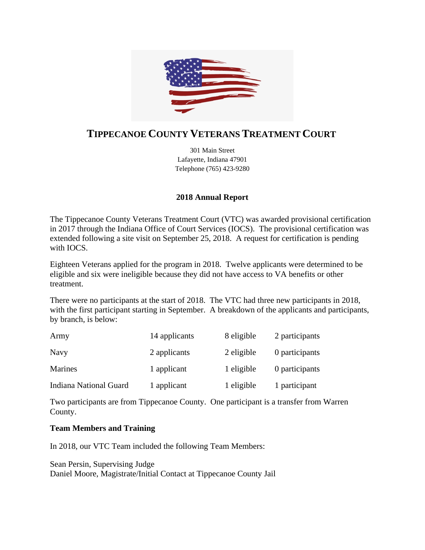

# **TIPPECANOE COUNTY VETERANS TREATMENT COURT**

301 Main Street Lafayette, Indiana 47901 Telephone (765) 423-9280

## **2018 Annual Report**

The Tippecanoe County Veterans Treatment Court (VTC) was awarded provisional certification in 2017 through the Indiana Office of Court Services (IOCS). The provisional certification was extended following a site visit on September 25, 2018. A request for certification is pending with IOCS.

Eighteen Veterans applied for the program in 2018. Twelve applicants were determined to be eligible and six were ineligible because they did not have access to VA benefits or other treatment.

There were no participants at the start of 2018. The VTC had three new participants in 2018, with the first participant starting in September. A breakdown of the applicants and participants, by branch, is below:

| Army                   | 14 applicants | 8 eligible | 2 participants |
|------------------------|---------------|------------|----------------|
| Navy                   | 2 applicants  | 2 eligible | 0 participants |
| <b>Marines</b>         | 1 applicant   | 1 eligible | 0 participants |
| Indiana National Guard | 1 applicant   | 1 eligible | 1 participant  |

Two participants are from Tippecanoe County. One participant is a transfer from Warren County.

## **Team Members and Training**

In 2018, our VTC Team included the following Team Members:

Sean Persin, Supervising Judge Daniel Moore, Magistrate/Initial Contact at Tippecanoe County Jail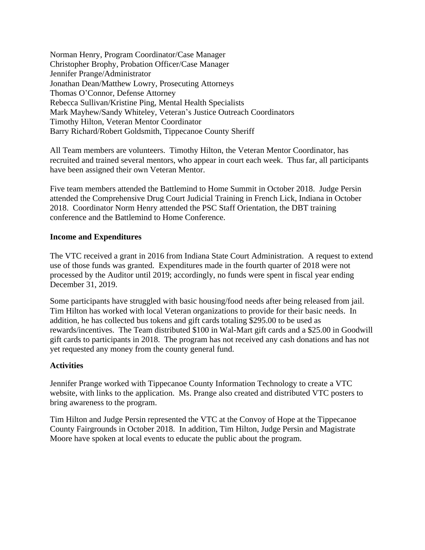Norman Henry, Program Coordinator/Case Manager Christopher Brophy, Probation Officer/Case Manager Jennifer Prange/Administrator Jonathan Dean/Matthew Lowry, Prosecuting Attorneys Thomas O'Connor, Defense Attorney Rebecca Sullivan/Kristine Ping, Mental Health Specialists Mark Mayhew/Sandy Whiteley, Veteran's Justice Outreach Coordinators Timothy Hilton, Veteran Mentor Coordinator Barry Richard/Robert Goldsmith, Tippecanoe County Sheriff

All Team members are volunteers. Timothy Hilton, the Veteran Mentor Coordinator, has recruited and trained several mentors, who appear in court each week. Thus far, all participants have been assigned their own Veteran Mentor.

Five team members attended the Battlemind to Home Summit in October 2018. Judge Persin attended the Comprehensive Drug Court Judicial Training in French Lick, Indiana in October 2018. Coordinator Norm Henry attended the PSC Staff Orientation, the DBT training conference and the Battlemind to Home Conference.

### **Income and Expenditures**

The VTC received a grant in 2016 from Indiana State Court Administration. A request to extend use of those funds was granted. Expenditures made in the fourth quarter of 2018 were not processed by the Auditor until 2019; accordingly, no funds were spent in fiscal year ending December 31, 2019.

Some participants have struggled with basic housing/food needs after being released from jail. Tim Hilton has worked with local Veteran organizations to provide for their basic needs. In addition, he has collected bus tokens and gift cards totaling \$295.00 to be used as rewards/incentives. The Team distributed \$100 in Wal-Mart gift cards and a \$25.00 in Goodwill gift cards to participants in 2018. The program has not received any cash donations and has not yet requested any money from the county general fund.

## **Activities**

Jennifer Prange worked with Tippecanoe County Information Technology to create a VTC website, with links to the application. Ms. Prange also created and distributed VTC posters to bring awareness to the program.

Tim Hilton and Judge Persin represented the VTC at the Convoy of Hope at the Tippecanoe County Fairgrounds in October 2018. In addition, Tim Hilton, Judge Persin and Magistrate Moore have spoken at local events to educate the public about the program.